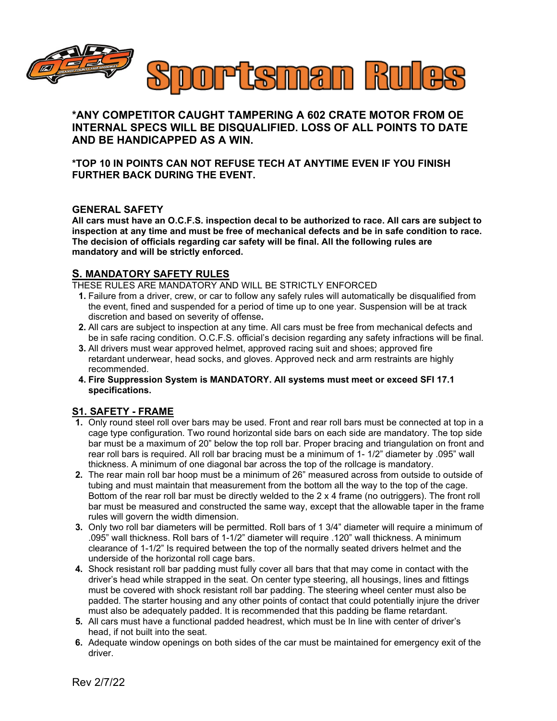

**\*ANY COMPETITOR CAUGHT TAMPERING A 602 CRATE MOTOR FROM OE INTERNAL SPECS WILL BE DISQUALIFIED. LOSS OF ALL POINTS TO DATE AND BE HANDICAPPED AS A WIN.** 

**\*TOP 10 IN POINTS CAN NOT REFUSE TECH AT ANYTIME EVEN IF YOU FINISH FURTHER BACK DURING THE EVENT.**

## **GENERAL SAFETY**

**All cars must have an O.C.F.S. inspection decal to be authorized to race. All cars are subject to inspection at any time and must be free of mechanical defects and be in safe condition to race. The decision of officials regarding car safety will be final. All the following rules are mandatory and will be strictly enforced.**

# **S. MANDATORY SAFETY RULES**

THESE RULES ARE MANDATORY AND WILL BE STRICTLY ENFORCED

- **1.** Failure from a driver, crew, or car to follow any safely rules will automatically be disqualified from the event, fined and suspended for a period of time up to one year. Suspension will be at track discretion and based on severity of offense**.**
- **2.** All cars are subject to inspection at any time. All cars must be free from mechanical defects and be in safe racing condition. O.C.F.S. official's decision regarding any safety infractions will be final.
- **3.** All drivers must wear approved helmet, approved racing suit and shoes; approved fire retardant underwear, head socks, and gloves. Approved neck and arm restraints are highly recommended.
- **4. Fire Suppression System is MANDATORY. All systems must meet or exceed SFI 17.1 specifications.**

# **S1. SAFETY - FRAME**

- **1.** Only round steel roll over bars may be used. Front and rear roll bars must be connected at top in a cage type configuration. Two round horizontal side bars on each side are mandatory. The top side bar must be a maximum of 20" below the top roll bar. Proper bracing and triangulation on front and rear roll bars is required. All roll bar bracing must be a minimum of 1- 1/2" diameter by .095" wall thickness. A minimum of one diagonal bar across the top of the rollcage is mandatory.
- **2.** The rear main roll bar hoop must be a minimum of 26" measured across from outside to outside of tubing and must maintain that measurement from the bottom all the way to the top of the cage. Bottom of the rear roll bar must be directly welded to the 2 x 4 frame (no outriggers). The front roll bar must be measured and constructed the same way, except that the allowable taper in the frame rules will govern the width dimension.
- **3.** Only two roll bar diameters will be permitted. Roll bars of 1 3/4" diameter will require a minimum of .095" wall thickness. Roll bars of 1-1/2" diameter will require .120" wall thickness. A minimum clearance of 1-1/2" Is required between the top of the normally seated drivers helmet and the underside of the horizontal roll cage bars.
- **4.** Shock resistant roll bar padding must fully cover all bars that that may come in contact with the driver's head while strapped in the seat. On center type steering, all housings, lines and fittings must be covered with shock resistant roll bar padding. The steering wheel center must also be padded. The starter housing and any other points of contact that could potentially injure the driver must also be adequately padded. It is recommended that this padding be flame retardant.
- **5.** All cars must have a functional padded headrest, which must be In line with center of driver's head, if not built into the seat.
- **6.** Adequate window openings on both sides of the car must be maintained for emergency exit of the driver.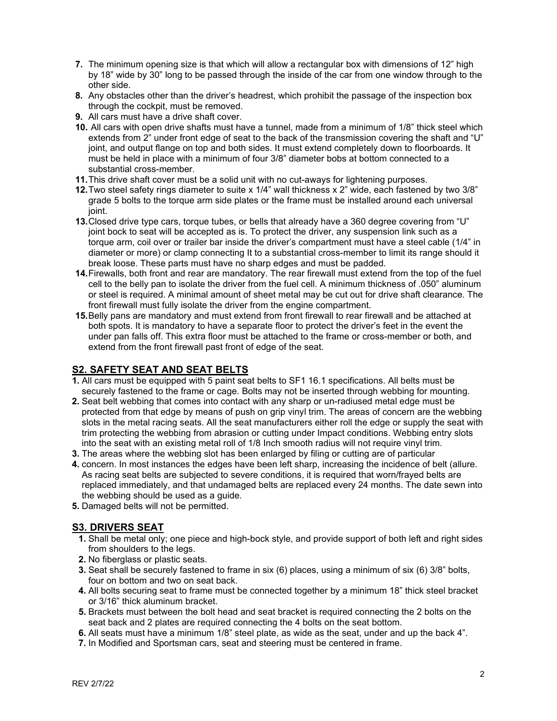- **7.** The minimum opening size is that which will allow a rectangular box with dimensions of 12" high by 18" wide by 30" long to be passed through the inside of the car from one window through to the other side.
- **8.** Any obstacles other than the driver's headrest, which prohibit the passage of the inspection box through the cockpit, must be removed.
- **9.** All cars must have a drive shaft cover.
- **10.** All cars with open drive shafts must have a tunnel, made from a minimum of 1/8" thick steel which extends from 2" under front edge of seat to the back of the transmission covering the shaft and "U" joint, and output flange on top and both sides. It must extend completely down to floorboards. It must be held in place with a minimum of four 3/8" diameter bobs at bottom connected to a substantial cross-member.
- **11.**This drive shaft cover must be a solid unit with no cut-aways for lightening purposes.
- **12.**Two steel safety rings diameter to suite x 1/4" wall thickness x 2" wide, each fastened by two 3/8" grade 5 bolts to the torque arm side plates or the frame must be installed around each universal joint.
- **13.**Closed drive type cars, torque tubes, or bells that already have a 360 degree covering from "U" joint bock to seat will be accepted as is. To protect the driver, any suspension link such as a torque arm, coil over or trailer bar inside the driver's compartment must have a steel cable (1/4" in diameter or more) or clamp connecting It to a substantial cross-member to limit its range should it break loose. These parts must have no sharp edges and must be padded.
- **14.**Firewalls, both front and rear are mandatory. The rear firewall must extend from the top of the fuel cell to the belly pan to isolate the driver from the fuel cell. A minimum thickness of .050" aluminum or steel is required. A minimal amount of sheet metal may be cut out for drive shaft clearance. The front firewall must fully isolate the driver from the engine compartment.
- **15.**Belly pans are mandatory and must extend from front firewall to rear firewall and be attached at both spots. It is mandatory to have a separate floor to protect the driver's feet in the event the under pan falls off. This extra floor must be attached to the frame or cross-member or both, and extend from the front firewall past front of edge of the seat.

# **S2. SAFETY SEAT AND SEAT BELTS**

- **1.** All cars must be equipped with 5 paint seat belts to SF1 16.1 specifications. All belts must be securely fastened to the frame or cage. Bolts may not be inserted through webbing for mounting.
- **2.** Seat belt webbing that comes into contact with any sharp or un-radiused metal edge must be protected from that edge by means of push on grip vinyl trim. The areas of concern are the webbing slots in the metal racing seats. All the seat manufacturers either roll the edge or supply the seat with trim protecting the webbing from abrasion or cutting under Impact conditions. Webbing entry slots into the seat with an existing metal roll of 1/8 Inch smooth radius will not require vinyl trim.
- **3.** The areas where the webbing slot has been enlarged by filing or cutting are of particular
- **4.** concern. In most instances the edges have been left sharp, increasing the incidence of belt (allure. As racing seat belts are subjected to severe conditions, it is required that worn/frayed belts are replaced immediately, and that undamaged belts are replaced every 24 months. The date sewn into the webbing should be used as a guide.
- **5.** Damaged belts will not be permitted.

# **S3. DRIVERS SEAT**

- **1.** Shall be metal only; one piece and high-bock style, and provide support of both left and right sides from shoulders to the legs.
- **2.** No fiberglass or plastic seats.
- **3.** Seat shall be securely fastened to frame in six (6) places, using a minimum of six (6) 3/8" bolts, four on bottom and two on seat back.
- **4.** All bolts securing seat to frame must be connected together by a minimum 18" thick steel bracket or 3/16" thick aluminum bracket.
- **5.** Brackets must between the bolt head and seat bracket is required connecting the 2 bolts on the seat back and 2 plates are required connecting the 4 bolts on the seat bottom.
- **6.** All seats must have a minimum 1/8" steel plate, as wide as the seat, under and up the back 4".
- **7.** In Modified and Sportsman cars, seat and steering must be centered in frame.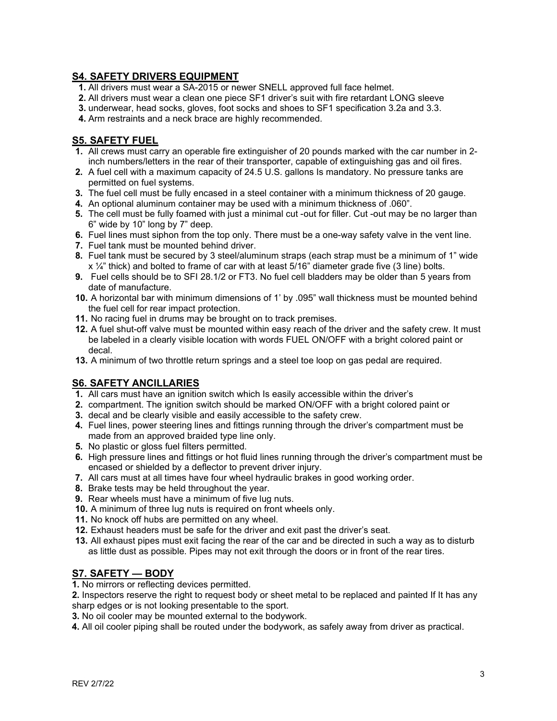# **S4. SAFETY DRIVERS EQUIPMENT**

- **1.** All drivers must wear a SA-2015 or newer SNELL approved full face helmet.
- **2.** All drivers must wear a clean one piece SF1 driver's suit with fire retardant LONG sleeve
- **3.** underwear, head socks, gloves, foot socks and shoes to SF1 specification 3.2a and 3.3.
- **4.** Arm restraints and a neck brace are highly recommended.

# **S5. SAFETY FUEL**

- **1.** All crews must carry an operable fire extinguisher of 20 pounds marked with the car number in 2 inch numbers/letters in the rear of their transporter, capable of extinguishing gas and oil fires.
- **2.** A fuel cell with a maximum capacity of 24.5 U.S. gallons Is mandatory. No pressure tanks are permitted on fuel systems.
- **3.** The fuel cell must be fully encased in a steel container with a minimum thickness of 20 gauge.
- **4.** An optional aluminum container may be used with a minimum thickness of .060".
- **5.** The cell must be fully foamed with just a minimal cut -out for filler. Cut -out may be no larger than 6" wide by 10" long by 7" deep.
- **6.** Fuel lines must siphon from the top only. There must be a one-way safety valve in the vent line.
- **7.** Fuel tank must be mounted behind driver.
- **8.** Fuel tank must be secured by 3 steel/aluminum straps (each strap must be a minimum of 1" wide  $x \frac{1}{4}$ " thick) and bolted to frame of car with at least 5/16" diameter grade five (3 line) bolts.
- **9.** Fuel cells should be to SFI 28.1/2 or FT3. No fuel cell bladders may be older than 5 years from date of manufacture.
- **10.** A horizontal bar with minimum dimensions of 1' by .095" wall thickness must be mounted behind the fuel cell for rear impact protection.
- **11.** No racing fuel in drums may be brought on to track premises.
- **12.** A fuel shut-off valve must be mounted within easy reach of the driver and the safety crew. It must be labeled in a clearly visible location with words FUEL ON/OFF with a bright colored paint or decal.
- **13.** A minimum of two throttle return springs and a steel toe loop on gas pedal are required.

# **S6. SAFETY ANCILLARIES**

- **1.** All cars must have an ignition switch which Is easily accessible within the driver's
- **2.** compartment. The ignition switch should be marked ON/OFF with a bright colored paint or
- **3.** decal and be clearly visible and easily accessible to the safety crew.
- **4.** Fuel lines, power steering lines and fittings running through the driver's compartment must be made from an approved braided type line only.
- **5.** No plastic or gloss fuel filters permitted.
- **6.** High pressure lines and fittings or hot fluid lines running through the driver's compartment must be encased or shielded by a deflector to prevent driver injury.
- **7.** All cars must at all times have four wheel hydraulic brakes in good working order.
- **8.** Brake tests may be held throughout the year.
- **9.** Rear wheels must have a minimum of five lug nuts.
- **10.** A minimum of three lug nuts is required on front wheels only.
- **11.** No knock off hubs are permitted on any wheel.
- **12.** Exhaust headers must be safe for the driver and exit past the driver's seat.
- **13.** All exhaust pipes must exit facing the rear of the car and be directed in such a way as to disturb as little dust as possible. Pipes may not exit through the doors or in front of the rear tires.

# **S7. SAFETY — BODY**

**1.** No mirrors or reflecting devices permitted.

**2.** Inspectors reserve the right to request body or sheet metal to be replaced and painted If It has any sharp edges or is not looking presentable to the sport.

**3.** No oil cooler may be mounted external to the bodywork.

**4.** All oil cooler piping shall be routed under the bodywork, as safely away from driver as practical.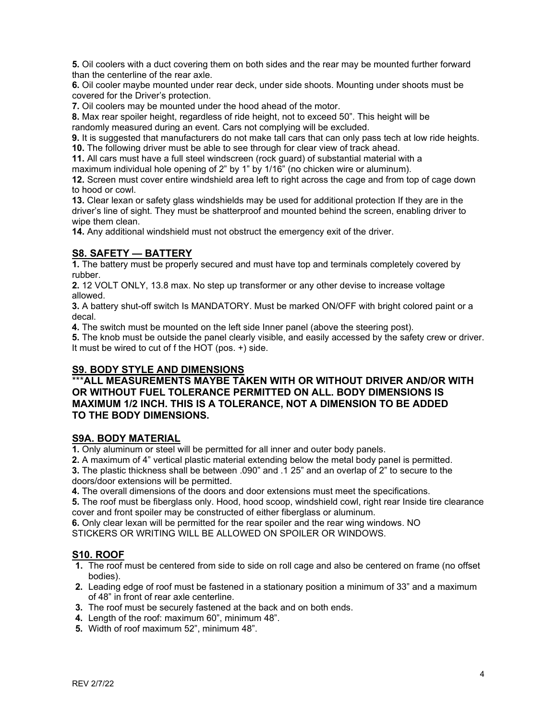**5.** Oil coolers with a duct covering them on both sides and the rear may be mounted further forward than the centerline of the rear axle.

**6.** Oil cooler maybe mounted under rear deck, under side shoots. Mounting under shoots must be covered for the Driver's protection.

**7.** Oil coolers may be mounted under the hood ahead of the motor.

**8.** Max rear spoiler height, regardless of ride height, not to exceed 50". This height will be randomly measured during an event. Cars not complying will be excluded.

**9.** It is suggested that manufacturers do not make tall cars that can only pass tech at low ride heights. **10.** The following driver must be able to see through for clear view of track ahead.

**11.** All cars must have a full steel windscreen (rock guard) of substantial material with a maximum individual hole opening of 2" by 1" by 1/16" (no chicken wire or aluminum).

**12.** Screen must cover entire windshield area left to right across the cage and from top of cage down to hood or cowl.

**13.** Clear lexan or safety glass windshields may be used for additional protection If they are in the driver's line of sight. They must be shatterproof and mounted behind the screen, enabling driver to wipe them clean.

**14.** Any additional windshield must not obstruct the emergency exit of the driver.

### **S8. SAFETY — BATTERY**

**1.** The battery must be properly secured and must have top and terminals completely covered by rubber.

**2.** 12 VOLT ONLY, 13.8 max. No step up transformer or any other devise to increase voltage allowed.

**3.** A battery shut-off switch Is MANDATORY. Must be marked ON/OFF with bright colored paint or a decal.

**4.** The switch must be mounted on the left side Inner panel (above the steering post).

**5.** The knob must be outside the panel clearly visible, and easily accessed by the safety crew or driver. It must be wired to cut of f the HOT (pos. +) side.

# **S9. BODY STYLE AND DIMENSIONS**

## \*\*\***ALL MEASUREMENTS MAYBE TAKEN WITH OR WITHOUT DRIVER AND/OR WITH OR WITHOUT FUEL TOLERANCE PERMITTED ON ALL. BODY DIMENSIONS IS MAXIMUM 1/2 INCH. THIS IS A TOLERANCE, NOT A DIMENSION TO BE ADDED TO THE BODY DIMENSIONS.**

### **S9A. BODY MATERIAL**

**1.** Only aluminum or steel will be permitted for all inner and outer body panels.

**2.** A maximum of 4" vertical plastic material extending below the metal body panel is permitted.

**3.** The plastic thickness shall be between .090" and .1 25" and an overlap of 2" to secure to the doors/door extensions will be permitted.

**4.** The overall dimensions of the doors and door extensions must meet the specifications.

**5.** The roof must be fiberglass only. Hood, hood scoop, windshield cowl, right rear Inside tire clearance cover and front spoiler may be constructed of either fiberglass or aluminum.

**6.** Only clear lexan will be permitted for the rear spoiler and the rear wing windows. NO STICKERS OR WRITING WILL BE ALLOWED ON SPOILER OR WINDOWS.

### **S10. ROOF**

- **1.** The roof must be centered from side to side on roll cage and also be centered on frame (no offset bodies).
- **2.** Leading edge of roof must be fastened in a stationary position a minimum of 33" and a maximum of 48" in front of rear axle centerline.
- **3.** The roof must be securely fastened at the back and on both ends.
- **4.** Length of the roof: maximum 60", minimum 48".
- **5.** Width of roof maximum 52", minimum 48".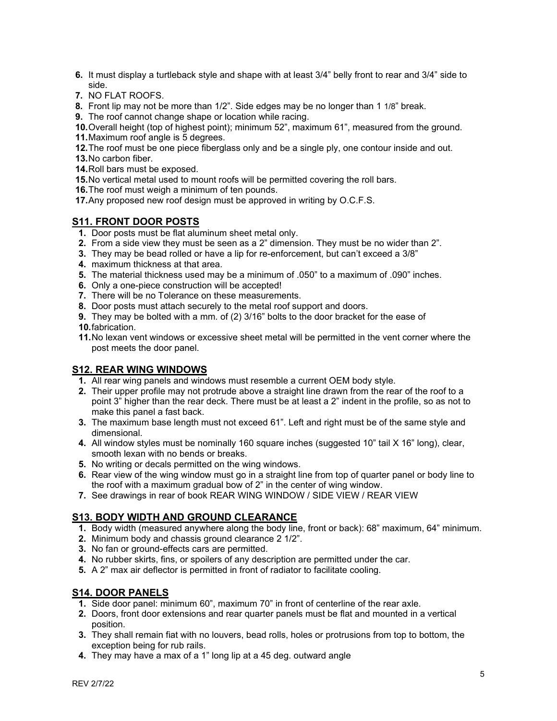- **6.** It must display a turtleback style and shape with at least 3/4" belly front to rear and 3/4" side to side.
- **7.** NO FLAT ROOFS.
- **8.** Front lip may not be more than 1/2". Side edges may be no longer than 1 1/8" break.
- **9.** The roof cannot change shape or location while racing.

**10.**Overall height (top of highest point); minimum 52", maximum 61", measured from the ground. **11.**Maximum roof angle is 5 degrees.

**12.**The roof must be one piece fiberglass only and be a single ply, one contour inside and out.

- **13.**No carbon fiber.
- **14.**Roll bars must be exposed.

**15.**No vertical metal used to mount roofs will be permitted covering the roll bars.

- **16.**The roof must weigh a minimum of ten pounds.
- **17.**Any proposed new roof design must be approved in writing by O.C.F.S.

# **S11. FRONT DOOR POSTS**

- **1.** Door posts must be flat aluminum sheet metal only.
- **2.** From a side view they must be seen as a 2" dimension. They must be no wider than 2".
- **3.** They may be bead rolled or have a lip for re-enforcement, but can't exceed a 3/8"
- **4.** maximum thickness at that area.
- **5.** The material thickness used may be a minimum of .050" to a maximum of .090" inches.
- **6.** Only a one-piece construction will be accepted!
- **7.** There will be no Tolerance on these measurements.
- **8.** Door posts must attach securely to the metal roof support and doors.
- **9.** They may be bolted with a mm. of (2) 3/16" bolts to the door bracket for the ease of
- **10.**fabrication.
- **11.**No lexan vent windows or excessive sheet metal will be permitted in the vent corner where the post meets the door panel.

# **S12. REAR WING WINDOWS**

- **1.** All rear wing panels and windows must resemble a current OEM body style.
- **2.** Their upper profile may not protrude above a straight line drawn from the rear of the roof to a point 3" higher than the rear deck. There must be at least a 2" indent in the profile, so as not to make this panel a fast back.
- **3.** The maximum base length must not exceed 61". Left and right must be of the same style and dimensional.
- **4.** All window styles must be nominally 160 square inches (suggested 10" tail X 16" long), clear, smooth lexan with no bends or breaks.
- **5.** No writing or decals permitted on the wing windows.
- **6.** Rear view of the wing window must go in a straight line from top of quarter panel or body line to the roof with a maximum gradual bow of 2" in the center of wing window.
- **7.** See drawings in rear of book REAR WING WINDOW / SIDE VIEW / REAR VIEW

# **S13. BODY WIDTH AND GROUND CLEARANCE**

- **1.** Body width (measured anywhere along the body line, front or back): 68" maximum, 64" minimum.
- **2.** Minimum body and chassis ground clearance 2 1/2".
- **3.** No fan or ground-effects cars are permitted.
- **4.** No rubber skirts, fins, or spoilers of any description are permitted under the car.
- **5.** A 2" max air deflector is permitted in front of radiator to facilitate cooling.

# **S14. DOOR PANELS**

- **1.** Side door panel: minimum 60", maximum 70" in front of centerline of the rear axle.
- **2.** Doors, front door extensions and rear quarter panels must be flat and mounted in a vertical position.
- **3.** They shall remain fiat with no louvers, bead rolls, holes or protrusions from top to bottom, the exception being for rub rails.
- **4.** They may have a max of a 1" long lip at a 45 deg. outward angle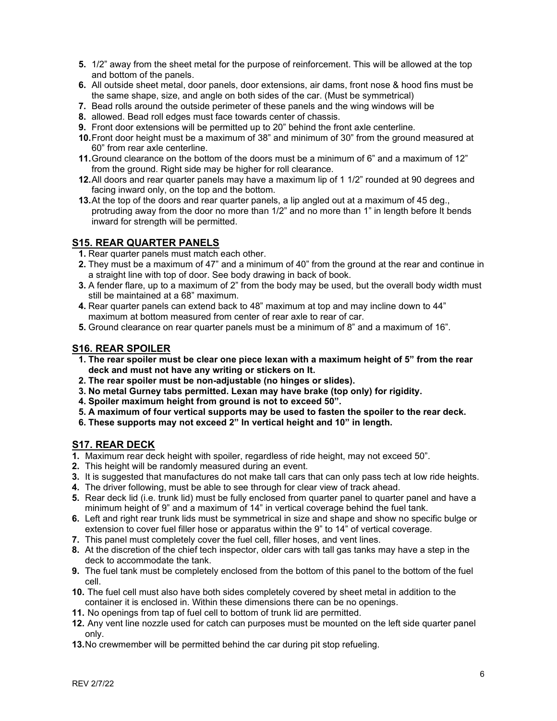- **5.** 1/2" away from the sheet metal for the purpose of reinforcement. This will be allowed at the top and bottom of the panels.
- **6.** All outside sheet metal, door panels, door extensions, air dams, front nose & hood fins must be the same shape, size, and angle on both sides of the car. (Must be symmetrical)
- **7.** Bead rolls around the outside perimeter of these panels and the wing windows will be
- **8.** allowed. Bead roll edges must face towards center of chassis.
- **9.** Front door extensions will be permitted up to 20" behind the front axle centerline.
- **10.**Front door height must be a maximum of 38" and minimum of 30" from the ground measured at 60" from rear axle centerline.
- **11.**Ground clearance on the bottom of the doors must be a minimum of 6" and a maximum of 12" from the ground. Right side may be higher for roll clearance.
- **12.**All doors and rear quarter panels may have a maximum lip of 1 1/2" rounded at 90 degrees and facing inward only, on the top and the bottom.
- **13.**At the top of the doors and rear quarter panels, a lip angled out at a maximum of 45 deg., protruding away from the door no more than 1/2" and no more than 1" in length before It bends inward for strength will be permitted.

# **S15. REAR QUARTER PANELS**

- **1.** Rear quarter panels must match each other.
- **2.** They must be a maximum of 47" and a minimum of 40" from the ground at the rear and continue in a straight line with top of door. See body drawing in back of book.
- **3.** A fender flare, up to a maximum of 2" from the body may be used, but the overall body width must still be maintained at a 68" maximum.
- **4.** Rear quarter panels can extend back to 48" maximum at top and may incline down to 44" maximum at bottom measured from center of rear axle to rear of car.
- **5.** Ground clearance on rear quarter panels must be a minimum of 8" and a maximum of 16".

## **S16. REAR SPOILER**

- **1. The rear spoiler must be clear one piece lexan with a maximum height of 5" from the rear deck and must not have any writing or stickers on It.**
- **2. The rear spoiler must be non-adjustable (no hinges or slides).**
- **3. No metal Gurney tabs permitted. Lexan may have brake (top only) for rigidity.**
- **4. Spoiler maximum height from ground is not to exceed 50".**
- **5. A maximum of four vertical supports may be used to fasten the spoiler to the rear deck.**
- **6. These supports may not exceed 2" In vertical height and 10" in length.**

# **S17. REAR DECK**

- **1.** Maximum rear deck height with spoiler, regardless of ride height, may not exceed 50".
- **2.** This height will be randomly measured during an event.
- **3.** It is suggested that manufactures do not make tall cars that can only pass tech at low ride heights.
- **4.** The driver following, must be able to see through for clear view of track ahead.
- **5.** Rear deck lid (i.e. trunk lid) must be fully enclosed from quarter panel to quarter panel and have a minimum height of 9" and a maximum of 14" in vertical coverage behind the fuel tank.
- **6.** Left and right rear trunk lids must be symmetrical in size and shape and show no specific bulge or extension to cover fuel filler hose or apparatus within the 9" to 14" of vertical coverage.
- **7.** This panel must completely cover the fuel cell, filler hoses, and vent lines.
- **8.** At the discretion of the chief tech inspector, older cars with tall gas tanks may have a step in the deck to accommodate the tank.
- **9.** The fuel tank must be completely enclosed from the bottom of this panel to the bottom of the fuel cell.
- **10.** The fuel cell must also have both sides completely covered by sheet metal in addition to the container it is enclosed in. Within these dimensions there can be no openings.
- **11.** No openings from tap of fuel cell to bottom of trunk lid are permitted.
- **12.** Any vent line nozzle used for catch can purposes must be mounted on the left side quarter panel only.
- **13.**No crewmember will be permitted behind the car during pit stop refueling.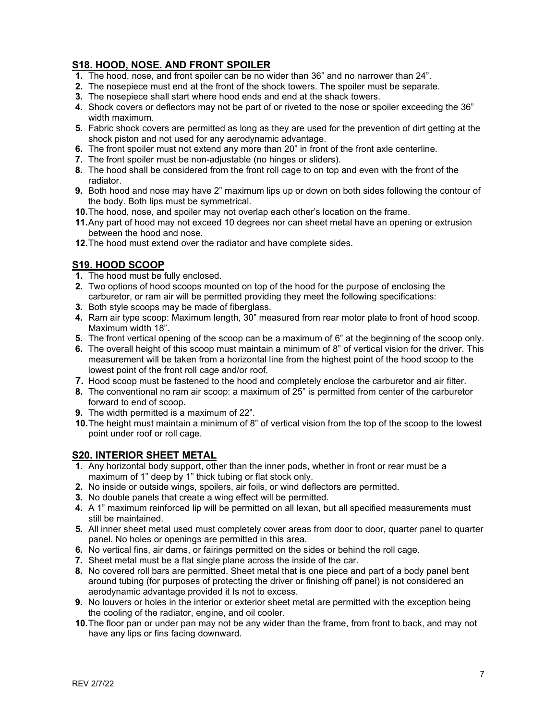# **S18. HOOD, NOSE. AND FRONT SPOILER**

- **1.** The hood, nose, and front spoiler can be no wider than 36" and no narrower than 24".
- **2.** The nosepiece must end at the front of the shock towers. The spoiler must be separate.
- **3.** The nosepiece shall start where hood ends and end at the shack towers.
- **4.** Shock covers or deflectors may not be part of or riveted to the nose or spoiler exceeding the 36" width maximum.
- **5.** Fabric shock covers are permitted as long as they are used for the prevention of dirt getting at the shock piston and not used for any aerodynamic advantage.
- **6.** The front spoiler must not extend any more than 20" in front of the front axle centerline.
- **7.** The front spoiler must be non-adjustable (no hinges or sliders).
- **8.** The hood shall be considered from the front roll cage to on top and even with the front of the radiator.
- **9.** Both hood and nose may have 2" maximum lips up or down on both sides following the contour of the body. Both lips must be symmetrical.
- **10.**The hood, nose, and spoiler may not overlap each other's location on the frame.
- **11.**Any part of hood may not exceed 10 degrees nor can sheet metal have an opening or extrusion between the hood and nose.
- **12.**The hood must extend over the radiator and have complete sides.

# **S19. HOOD SCOOP**

- **1.** The hood must be fully enclosed.
- **2.** Two options of hood scoops mounted on top of the hood for the purpose of enclosing the carburetor, or ram air will be permitted providing they meet the following specifications:
- **3.** Both style scoops may be made of fiberglass.
- **4.** Ram air type scoop: Maximum length, 30" measured from rear motor plate to front of hood scoop. Maximum width 18".
- **5.** The front vertical opening of the scoop can be a maximum of 6" at the beginning of the scoop only.
- **6.** The overall height of this scoop must maintain a minimum of 8" of vertical vision for the driver. This measurement will be taken from a horizontal line from the highest point of the hood scoop to the lowest point of the front roll cage and/or roof.
- **7.** Hood scoop must be fastened to the hood and completely enclose the carburetor and air filter.
- **8.** The conventional no ram air scoop: a maximum of 25" is permitted from center of the carburetor forward to end of scoop.
- **9.** The width permitted is a maximum of 22".
- **10.**The height must maintain a minimum of 8" of vertical vision from the top of the scoop to the lowest point under roof or roll cage.

# **S20. INTERIOR SHEET METAL**

- **1.** Any horizontal body support, other than the inner pods, whether in front or rear must be a maximum of 1" deep by 1" thick tubing or flat stock only.
- **2.** No inside or outside wings, spoilers, air foils, or wind deflectors are permitted.
- **3.** No double panels that create a wing effect will be permitted.
- **4.** A 1" maximum reinforced lip will be permitted on all lexan, but all specified measurements must still be maintained.
- **5.** All inner sheet metal used must completely cover areas from door to door, quarter panel to quarter panel. No holes or openings are permitted in this area.
- **6.** No vertical fins, air dams, or fairings permitted on the sides or behind the roll cage.
- **7.** Sheet metal must be a flat single plane across the inside of the car.
- **8.** No covered roll bars are permitted. Sheet metal that is one piece and part of a body panel bent around tubing (for purposes of protecting the driver or finishing off panel) is not considered an aerodynamic advantage provided it Is not to excess.
- **9.** No louvers or holes in the interior or exterior sheet metal are permitted with the exception being the cooling of the radiator, engine, and oil cooler.
- **10.**The floor pan or under pan may not be any wider than the frame, from front to back, and may not have any lips or fins facing downward.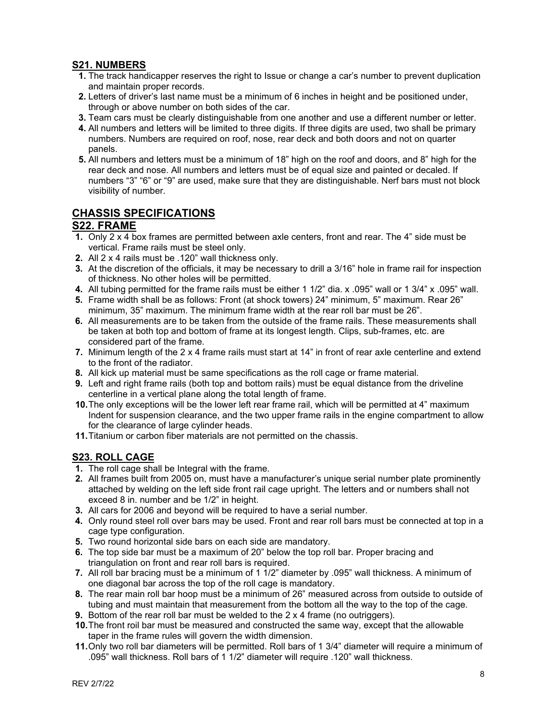# **S21. NUMBERS**

- **1.** The track handicapper reserves the right to Issue or change a car's number to prevent duplication and maintain proper records.
- **2.** Letters of driver's last name must be a minimum of 6 inches in height and be positioned under, through or above number on both sides of the car.
- **3.** Team cars must be clearly distinguishable from one another and use a different number or letter.
- **4.** All numbers and letters will be limited to three digits. If three digits are used, two shall be primary numbers. Numbers are required on roof, nose, rear deck and both doors and not on quarter panels.
- **5.** All numbers and letters must be a minimum of 18" high on the roof and doors, and 8" high for the rear deck and nose. All numbers and letters must be of equal size and painted or decaled. If numbers "3" "6" or "9" are used, make sure that they are distinguishable. Nerf bars must not block visibility of number.

# **CHASSIS SPECIFICATIONS**

# **S22. FRAME**

- **1.** Only 2 x 4 box frames are permitted between axle centers, front and rear. The 4" side must be vertical. Frame rails must be steel only.
- **2.** All 2 x 4 rails must be .120" wall thickness only.
- **3.** At the discretion of the officials, it may be necessary to drill a 3/16" hole in frame rail for inspection of thickness. No other holes will be permitted.
- **4.** All tubing permitted for the frame rails must be either 1 1/2" dia. x .095" wall or 1 3/4" x .095" wall.
- **5.** Frame width shall be as follows: Front (at shock towers) 24" minimum, 5" maximum. Rear 26" minimum, 35" maximum. The minimum frame width at the rear roll bar must be 26".
- **6.** All measurements are to be taken from the outside of the frame rails. These measurements shall be taken at both top and bottom of frame at its longest length. Clips, sub-frames, etc. are considered part of the frame.
- **7.** Minimum length of the 2 x 4 frame rails must start at 14" in front of rear axle centerline and extend to the front of the radiator.
- **8.** All kick up material must be same specifications as the roll cage or frame material.
- **9.** Left and right frame rails (both top and bottom rails) must be equal distance from the driveline centerline in a vertical plane along the total length of frame.
- **10.**The only exceptions will be the lower left rear frame rail, which will be permitted at 4" maximum Indent for suspension clearance, and the two upper frame rails in the engine compartment to allow for the clearance of large cylinder heads.
- **11.**Titanium or carbon fiber materials are not permitted on the chassis.

# **S23. ROLL CAGE**

- **1.** The roll cage shall be Integral with the frame.
- **2.** All frames built from 2005 on, must have a manufacturer's unique serial number plate prominently attached by welding on the left side front rail cage upright. The letters and or numbers shall not exceed 8 in. number and be 1/2" in height.
- **3.** All cars for 2006 and beyond will be required to have a serial number.
- **4.** Only round steel roll over bars may be used. Front and rear roll bars must be connected at top in a cage type configuration.
- **5.** Two round horizontal side bars on each side are mandatory.
- **6.** The top side bar must be a maximum of 20" below the top roll bar. Proper bracing and triangulation on front and rear roll bars is required.
- **7.** All roll bar bracing must be a minimum of 1 1/2" diameter by .095" wall thickness. A minimum of one diagonal bar across the top of the roll cage is mandatory.
- **8.** The rear main roll bar hoop must be a minimum of 26" measured across from outside to outside of tubing and must maintain that measurement from the bottom all the way to the top of the cage.
- **9.** Bottom of the rear roll bar must be welded to the 2 x 4 frame (no outriggers).
- **10.**The front roil bar must be measured and constructed the same way, except that the allowable taper in the frame rules will govern the width dimension.
- **11.**Only two roll bar diameters will be permitted. Roll bars of 1 3/4" diameter will require a minimum of .095" wall thickness. Roll bars of 1 1/2" diameter will require .120" wall thickness.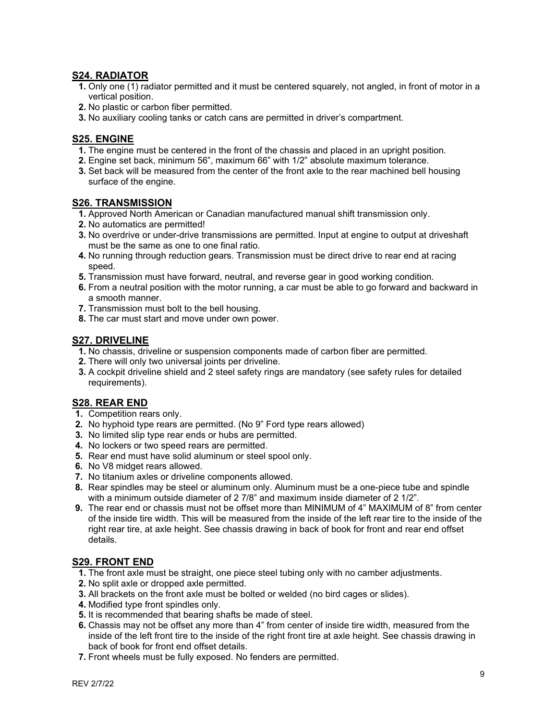## **S24. RADIATOR**

- **1.** Only one (1) radiator permitted and it must be centered squarely, not angled, in front of motor in a vertical position.
- **2.** No plastic or carbon fiber permitted.
- **3.** No auxiliary cooling tanks or catch cans are permitted in driver's compartment.

## **S25. ENGINE**

- **1.** The engine must be centered in the front of the chassis and placed in an upright position.
- **2.** Engine set back, minimum 56", maximum 66" with 1/2" absolute maximum tolerance.
- **3.** Set back will be measured from the center of the front axle to the rear machined bell housing surface of the engine.

### **S26. TRANSMISSION**

- **1.** Approved North American or Canadian manufactured manual shift transmission only.
- **2.** No automatics are permitted!
- **3.** No overdrive or under-drive transmissions are permitted. Input at engine to output at driveshaft must be the same as one to one final ratio.
- **4.** No running through reduction gears. Transmission must be direct drive to rear end at racing speed.
- **5.** Transmission must have forward, neutral, and reverse gear in good working condition.
- **6.** From a neutral position with the motor running, a car must be able to go forward and backward in a smooth manner.
- **7.** Transmission must bolt to the bell housing.
- **8.** The car must start and move under own power.

## **S27. DRIVELINE**

- **1.** No chassis, driveline or suspension components made of carbon fiber are permitted.
- **2.** There will only two universal joints per driveline.
- **3.** A cockpit driveline shield and 2 steel safety rings are mandatory (see safety rules for detailed requirements).

### **S28. REAR END**

- **1.** Competition rears only.
- **2.** No hyphoid type rears are permitted. (No 9" Ford type rears allowed)
- **3.** No limited slip type rear ends or hubs are permitted.
- **4.** No lockers or two speed rears are permitted.
- **5.** Rear end must have solid aluminum or steel spool only.
- **6.** No V8 midget rears allowed.
- **7.** No titanium axles or driveline components allowed.
- **8.** Rear spindles may be steel or aluminum only. Aluminum must be a one-piece tube and spindle with a minimum outside diameter of 2 7/8" and maximum inside diameter of 2 1/2".
- **9.** The rear end or chassis must not be offset more than MINIMUM of 4" MAXIMUM of 8" from center of the inside tire width. This will be measured from the inside of the left rear tire to the inside of the right rear tire, at axle height. See chassis drawing in back of book for front and rear end offset details.

### **S29. FRONT END**

- **1.** The front axle must be straight, one piece steel tubing only with no camber adjustments.
- **2.** No split axle or dropped axle permitted.
- **3.** All brackets on the front axle must be bolted or welded (no bird cages or slides).
- **4.** Modified type front spindles only.
- **5.** It is recommended that bearing shafts be made of steel.
- **6.** Chassis may not be offset any more than 4" from center of inside tire width, measured from the inside of the left front tire to the inside of the right front tire at axle height. See chassis drawing in back of book for front end offset details.
- **7.** Front wheels must be fully exposed. No fenders are permitted.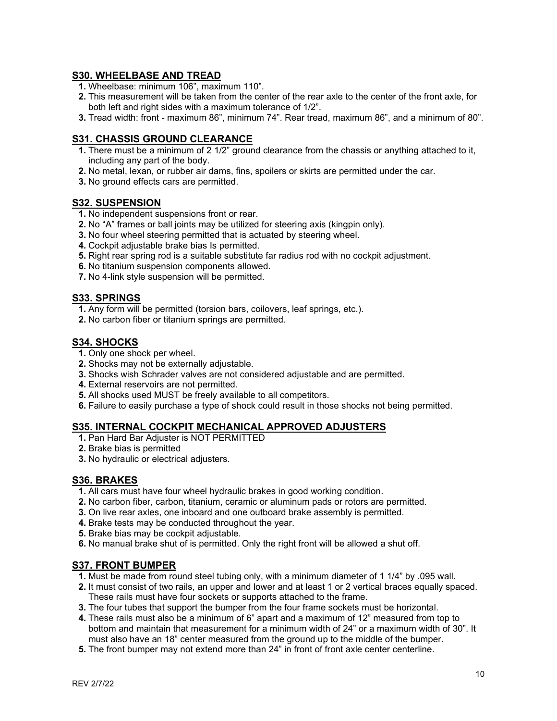## **S30. WHEELBASE AND TREAD**

- **1.** Wheelbase: minimum 106", maximum 110".
- **2.** This measurement will be taken from the center of the rear axle to the center of the front axle, for both left and right sides with a maximum tolerance of 1/2".
- **3.** Tread width: front maximum 86", minimum 74". Rear tread, maximum 86", and a minimum of 80".

## **S31. CHASSIS GROUND CLEARANCE**

- **1.** There must be a minimum of 2 1/2" ground clearance from the chassis or anything attached to it, including any part of the body.
- **2.** No metal, lexan, or rubber air dams, fins, spoilers or skirts are permitted under the car.
- **3.** No ground effects cars are permitted.

#### **S32. SUSPENSION**

- **1.** No independent suspensions front or rear.
- **2.** No "A" frames or ball joints may be utilized for steering axis (kingpin only).
- **3.** No four wheel steering permitted that is actuated by steering wheel.
- **4.** Cockpit adjustable brake bias Is permitted.
- **5.** Right rear spring rod is a suitable substitute far radius rod with no cockpit adjustment.
- **6.** No titanium suspension components allowed.
- **7.** No 4-link style suspension will be permitted.

### **S33. SPRINGS**

- **1.** Any form will be permitted (torsion bars, coilovers, leaf springs, etc.).
- **2.** No carbon fiber or titanium springs are permitted.

### **S34. SHOCKS**

- **1.** Only one shock per wheel.
- **2.** Shocks may not be externally adjustable.
- **3.** Shocks wish Schrader valves are not considered adjustable and are permitted.
- **4.** External reservoirs are not permitted.
- **5.** All shocks used MUST be freely available to all competitors.
- **6.** Failure to easily purchase a type of shock could result in those shocks not being permitted.

## **S35. INTERNAL COCKPIT MECHANICAL APPROVED ADJUSTERS**

- **1.** Pan Hard Bar Adjuster is NOT PERMITTED
- **2.** Brake bias is permitted
- **3.** No hydraulic or electrical adjusters.

# **S36. BRAKES**

- **1.** All cars must have four wheel hydraulic brakes in good working condition.
- **2.** No carbon fiber, carbon, titanium, ceramic or aluminum pads or rotors are permitted.
- **3.** On live rear axles, one inboard and one outboard brake assembly is permitted.
- **4.** Brake tests may be conducted throughout the year.
- **5.** Brake bias may be cockpit adjustable.
- **6.** No manual brake shut of is permitted. Only the right front will be allowed a shut off.

# **S37. FRONT BUMPER**

- **1.** Must be made from round steel tubing only, with a minimum diameter of 1 1/4" by .095 wall.
- **2.** It must consist of two rails, an upper and lower and at least 1 or 2 vertical braces equally spaced. These rails must have four sockets or supports attached to the frame.
- **3.** The four tubes that support the bumper from the four frame sockets must be horizontal.
- **4.** These rails must also be a minimum of 6" apart and a maximum of 12" measured from top to bottom and maintain that measurement for a minimum width of 24" or a maximum width of 30". It must also have an 18" center measured from the ground up to the middle of the bumper.
- **5.** The front bumper may not extend more than 24" in front of front axle center centerline.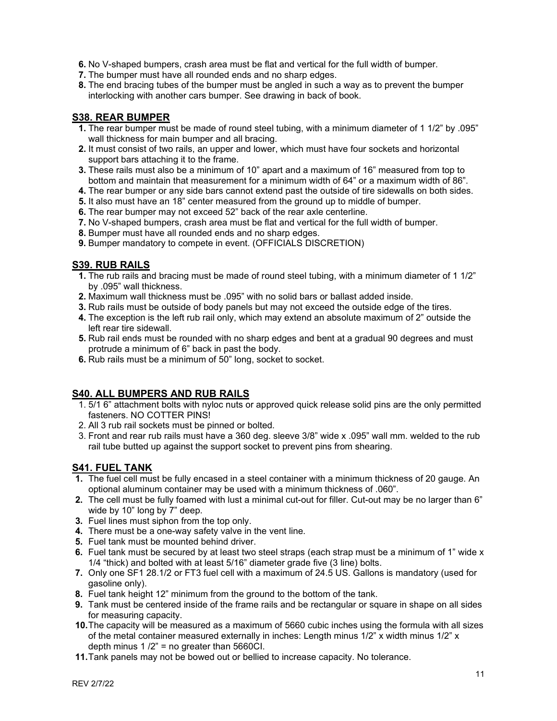**6.** No V-shaped bumpers, crash area must be flat and vertical for the full width of bumper.

- **7.** The bumper must have all rounded ends and no sharp edges.
- **8.** The end bracing tubes of the bumper must be angled in such a way as to prevent the bumper interlocking with another cars bumper. See drawing in back of book.

## **S38. REAR BUMPER**

- **1.** The rear bumper must be made of round steel tubing, with a minimum diameter of 1 1/2" by .095" wall thickness for main bumper and all bracing.
- **2.** It must consist of two rails, an upper and lower, which must have four sockets and horizontal support bars attaching it to the frame.
- **3.** These rails must also be a minimum of 10" apart and a maximum of 16" measured from top to bottom and maintain that measurement for a minimum width of 64" or a maximum width of 86".
- **4.** The rear bumper or any side bars cannot extend past the outside of tire sidewalls on both sides.
- **5.** It also must have an 18" center measured from the ground up to middle of bumper.
- **6.** The rear bumper may not exceed 52" back of the rear axle centerline.
- **7.** No V-shaped bumpers, crash area must be flat and vertical for the full width of bumper.
- **8.** Bumper must have all rounded ends and no sharp edges.
- **9.** Bumper mandatory to compete in event. (OFFICIALS DISCRETION)

## **S39. RUB RAILS**

- **1.** The rub rails and bracing must be made of round steel tubing, with a minimum diameter of 1 1/2" by .095" wall thickness.
- **2.** Maximum wall thickness must be .095" with no solid bars or ballast added inside.
- **3.** Rub rails must be outside of body panels but may not exceed the outside edge of the tires.
- **4.** The exception is the left rub rail only, which may extend an absolute maximum of 2" outside the left rear tire sidewall.
- **5.** Rub rail ends must be rounded with no sharp edges and bent at a gradual 90 degrees and must protrude a minimum of 6" back in past the body.
- **6.** Rub rails must be a minimum of 50" long, socket to socket.

### **S40. ALL BUMPERS AND RUB RAILS**

- 1. 5/1 6" attachment bolts with nyloc nuts or approved quick release solid pins are the only permitted fasteners. NO COTTER PINS!
- 2. All 3 rub rail sockets must be pinned or bolted.
- 3. Front and rear rub rails must have a 360 deg. sleeve 3/8" wide x .095" wall mm. welded to the rub rail tube butted up against the support socket to prevent pins from shearing.

# **S41. FUEL TANK**

- **1.** The fuel cell must be fully encased in a steel container with a minimum thickness of 20 gauge. An optional aluminum container may be used with a minimum thickness of .060".
- **2.** The cell must be fully foamed with lust a minimal cut-out for filler. Cut-out may be no larger than 6" wide by 10" long by 7" deep.
- **3.** Fuel lines must siphon from the top only.
- **4.** There must be a one-way safety valve in the vent line.
- **5.** Fuel tank must be mounted behind driver.
- **6.** Fuel tank must be secured by at least two steel straps (each strap must be a minimum of 1" wide x 1/4 "thick) and bolted with at least 5/16" diameter grade five (3 line) bolts.
- **7.** Only one SF1 28.1/2 or FT3 fuel cell with a maximum of 24.5 US. Gallons is mandatory (used for gasoline only).
- **8.** Fuel tank height 12" minimum from the ground to the bottom of the tank.
- **9.** Tank must be centered inside of the frame rails and be rectangular or square in shape on all sides for measuring capacity.
- **10.**The capacity will be measured as a maximum of 5660 cubic inches using the formula with all sizes of the metal container measured externally in inches: Length minus 1/2" x width minus 1/2" x depth minus  $1 / 2$ " = no greater than 5660Cl.
- **11.**Tank panels may not be bowed out or bellied to increase capacity. No tolerance.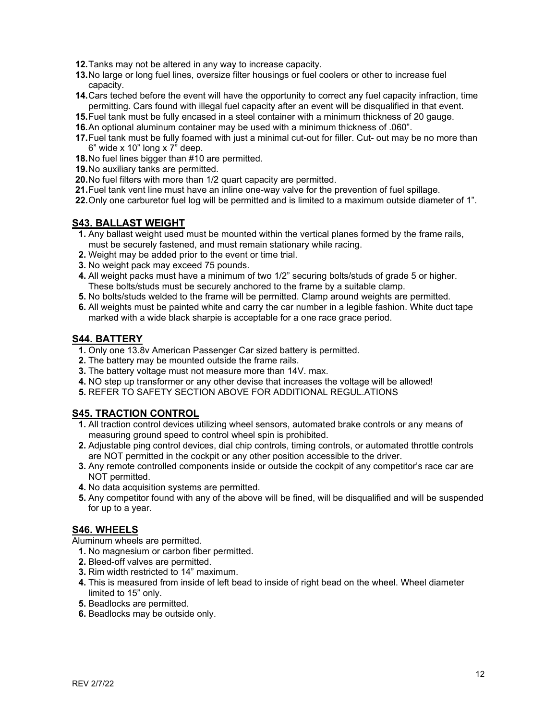- **12.**Tanks may not be altered in any way to increase capacity.
- **13.**No large or long fuel lines, oversize filter housings or fuel coolers or other to increase fuel capacity.
- **14.**Cars teched before the event will have the opportunity to correct any fuel capacity infraction, time permitting. Cars found with illegal fuel capacity after an event will be disqualified in that event.
- **15.**Fuel tank must be fully encased in a steel container with a minimum thickness of 20 gauge.
- **16.**An optional aluminum container may be used with a minimum thickness of .060".
- **17.**Fuel tank must be fully foamed with just a minimal cut-out for filler. Cut- out may be no more than  $6"$  wide x 10" long x  $7"$  deep.
- **18.**No fuel lines bigger than #10 are permitted.
- **19.**No auxiliary tanks are permitted.
- **20.**No fuel filters with more than 1/2 quart capacity are permitted.
- **21.**Fuel tank vent line must have an inline one-way valve for the prevention of fuel spillage.
- **22.**Only one carburetor fuel log will be permitted and is limited to a maximum outside diameter of 1".

### **S43. BALLAST WEIGHT**

- **1.** Any ballast weight used must be mounted within the vertical planes formed by the frame rails, must be securely fastened, and must remain stationary while racing.
- **2.** Weight may be added prior to the event or time trial.
- **3.** No weight pack may exceed 75 pounds.
- **4.** All weight packs must have a minimum of two 1/2" securing bolts/studs of grade 5 or higher. These bolts/studs must be securely anchored to the frame by a suitable clamp.
- **5.** No bolts/studs welded to the frame will be permitted. Clamp around weights are permitted.
- **6.** All weights must be painted white and carry the car number in a legible fashion. White duct tape marked with a wide black sharpie is acceptable for a one race grace period.

#### **S44. BATTERY**

- **1.** Only one 13.8v American Passenger Car sized battery is permitted.
- **2.** The battery may be mounted outside the frame rails.
- **3.** The battery voltage must not measure more than 14V. max.
- **4.** NO step up transformer or any other devise that increases the voltage will be allowed!
- **5.** REFER TO SAFETY SECTION ABOVE FOR ADDITIONAL REGUL.ATIONS

### **S45. TRACTION CONTROL**

- **1.** All traction control devices utilizing wheel sensors, automated brake controls or any means of measuring ground speed to control wheel spin is prohibited.
- **2.** Adjustable ping control devices, dial chip controls, timing controls, or automated throttle controls are NOT permitted in the cockpit or any other position accessible to the driver.
- **3.** Any remote controlled components inside or outside the cockpit of any competitor's race car are NOT permitted.
- **4.** No data acquisition systems are permitted.
- **5.** Any competitor found with any of the above will be fined, will be disqualified and will be suspended for up to a year.

### **S46. WHEELS**

Aluminum wheels are permitted.

- **1.** No magnesium or carbon fiber permitted.
- **2.** Bleed-off valves are permitted.
- **3.** Rim width restricted to 14" maximum.
- **4.** This is measured from inside of left bead to inside of right bead on the wheel. Wheel diameter limited to 15" only.
- **5.** Beadlocks are permitted.
- **6.** Beadlocks may be outside only.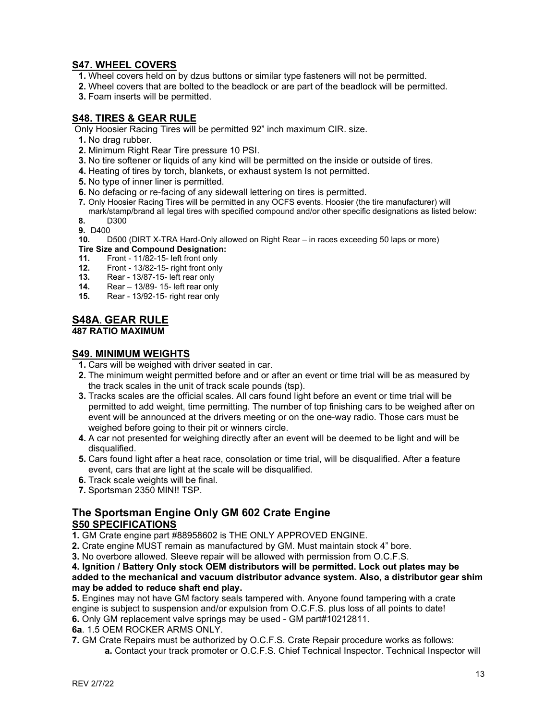# **S47. WHEEL COVERS**

- **1.** Wheel covers held on by dzus buttons or similar type fasteners will not be permitted.
- **2.** Wheel covers that are bolted to the beadlock or are part of the beadlock will be permitted.
- **3.** Foam inserts will be permitted.

## **S48. TIRES & GEAR RULE**

Only Hoosier Racing Tires will be permitted 92" inch maximum CIR. size.

- **1.** No drag rubber.
- **2.** Minimum Right Rear Tire pressure 10 PSI.
- **3.** No tire softener or liquids of any kind will be permitted on the inside or outside of tires.
- **4.** Heating of tires by torch, blankets, or exhaust system Is not permitted.
- **5.** No type of inner liner is permitted.
- **6.** No defacing or re-facing of any sidewall lettering on tires is permitted.
- **7.** Only Hoosier Racing Tires will be permitted in any OCFS events. Hoosier (the tire manufacturer) will
- mark/stamp/brand all legal tires with specified compound and/or other specific designations as listed below: **8.** D300
- **9.** D400
- **10.** D500 (DIRT X-TRA Hard-Only allowed on Right Rear in races exceeding 50 laps or more)
- **Tire Size and Compound Designation:**<br>**11.** Front 11/82-15- left front only
- **11.** Front 11/82-15- left front only
- **12.** Front 13/82-15- right front only
- **13.** Rear 13/87-15- left rear only
- **14.** Rear 13/89- 15- left rear only<br>**15.** Rear 13/92-15- right rear only
- **15.** Rear 13/92-15- right rear only

# **S48A. GEAR RULE**

**487 RATIO MAXIMUM**

### **S49. MINIMUM WEIGHTS**

- **1.** Cars will be weighed with driver seated in car.
- **2.** The minimum weight permitted before and or after an event or time trial will be as measured by the track scales in the unit of track scale pounds (tsp).
- **3.** Tracks scales are the official scales. All cars found light before an event or time trial will be permitted to add weight, time permitting. The number of top finishing cars to be weighed after on event will be announced at the drivers meeting or on the one-way radio. Those cars must be weighed before going to their pit or winners circle.
- **4.** A car not presented for weighing directly after an event will be deemed to be light and will be disqualified.
- **5.** Cars found light after a heat race, consolation or time trial, will be disqualified. After a feature event, cars that are light at the scale will be disqualified.
- **6.** Track scale weights will be final.
- **7.** Sportsman 2350 MIN!! TSP.

# **The Sportsman Engine Only GM 602 Crate Engine S50 SPECIFICATIONS**

**1.** GM Crate engine part #88958602 is THE ONLY APPROVED ENGINE.

**2.** Crate engine MUST remain as manufactured by GM. Must maintain stock 4" bore.

**3.** No overbore allowed. Sleeve repair will be allowed with permission from O.C.F.S.

#### **4. Ignition / Battery Only stock OEM distributors will be permitted. Lock out plates may be added to the mechanical and vacuum distributor advance system. Also, a distributor gear shim may be added to reduce shaft end play.**

**5.** Engines may not have GM factory seals tampered with. Anyone found tampering with a crate engine is subject to suspension and/or expulsion from O.C.F.S. plus loss of all points to date! **6.** Only GM replacement valve springs may be used - GM part#10212811.

**6a**. 1.5 OEM ROCKER ARMS ONLY.

**7.** GM Crate Repairs must be authorized by O.C.F.S. Crate Repair procedure works as follows:

**a.** Contact your track promoter or O.C.F.S. Chief Technical Inspector. Technical Inspector will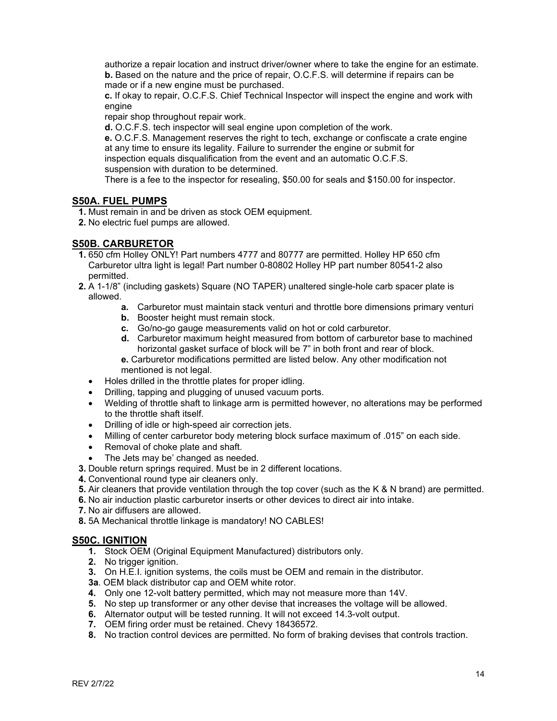authorize a repair location and instruct driver/owner where to take the engine for an estimate. **b.** Based on the nature and the price of repair, O.C.F.S. will determine if repairs can be made or if a new engine must be purchased.

**c.** If okay to repair, O.C.F.S. Chief Technical Inspector will inspect the engine and work with engine

repair shop throughout repair work.

**d.** O.C.F.S. tech inspector will seal engine upon completion of the work.

**e.** O.C.F.S. Management reserves the right to tech, exchange or confiscate a crate engine at any time to ensure its legality. Failure to surrender the engine or submit for inspection equals disqualification from the event and an automatic O.C.F.S. suspension with duration to be determined.

There is a fee to the inspector for resealing, \$50.00 for seals and \$150.00 for inspector.

## **S50A. FUEL PUMPS**

**1.** Must remain in and be driven as stock OEM equipment.

**2.** No electric fuel pumps are allowed.

## **S50B. CARBURETOR**

- **1.** 650 cfm Holley ONLY! Part numbers 4777 and 80777 are permitted. Holley HP 650 cfm Carburetor ultra light is legal! Part number 0-80802 Holley HP part number 80541-2 also permitted.
- **2.** A 1-1/8" (including gaskets) Square (NO TAPER) unaltered single-hole carb spacer plate is allowed.
	- **a.** Carburetor must maintain stack venturi and throttle bore dimensions primary venturi
	- **b.** Booster height must remain stock.
	- **c.** Go/no-go gauge measurements valid on hot or cold carburetor.
	- **d.** Carburetor maximum height measured from bottom of carburetor base to machined horizontal gasket surface of block will be 7" in both front and rear of block.

**e.** Carburetor modifications permitted are listed below. Any other modification not mentioned is not legal.

- Holes drilled in the throttle plates for proper idling.
- Drilling, tapping and plugging of unused vacuum ports.
- Welding of throttle shaft to linkage arm is permitted however, no alterations may be performed to the throttle shaft itself.
- Drilling of idle or high-speed air correction jets.
- Milling of center carburetor body metering block surface maximum of .015" on each side.
- Removal of choke plate and shaft.
- The Jets may be' changed as needed.
- **3.** Double return springs required. Must be in 2 different locations.
- **4.** Conventional round type air cleaners only.
- **5.** Air cleaners that provide ventilation through the top cover (such as the K & N brand) are permitted.
- **6.** No air induction plastic carburetor inserts or other devices to direct air into intake.
- **7.** No air diffusers are allowed.
- **8.** 5A Mechanical throttle linkage is mandatory! NO CABLES!

### **S50C. IGNITION**

- **1.** Stock OEM (Original Equipment Manufactured) distributors only.
- **2.** No trigger ignition.
- **3.** On H.E.I. ignition systems, the coils must be OEM and remain in the distributor.
- **3a**. OEM black distributor cap and OEM white rotor.
- **4.** Only one 12-volt battery permitted, which may not measure more than 14V.
- **5.** No step up transformer or any other devise that increases the voltage will be allowed.
- **6.** Alternator output will be tested running. It will not exceed 14.3-volt output.
- **7.** OEM firing order must be retained. Chevy 18436572.
- **8.** No traction control devices are permitted. No form of braking devises that controls traction.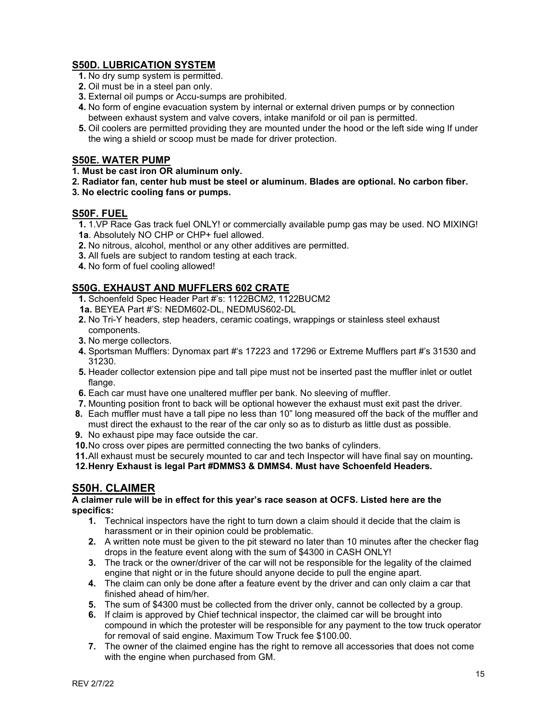# **S50D. LUBRICATION SYSTEM**

- **1.** No dry sump system is permitted.
- **2.** Oil must be in a steel pan only.
- **3.** External oil pumps or Accu-sumps are prohibited.
- **4.** No form of engine evacuation system by internal or external driven pumps or by connection between exhaust system and valve covers, intake manifold or oil pan is permitted.
- **5.** Oil coolers are permitted providing they are mounted under the hood or the left side wing If under the wing a shield or scoop must be made for driver protection.

# **S50E. WATER PUMP**

#### **1. Must be cast iron OR aluminum only.**

- **2. Radiator fan, center hub must be steel or aluminum. Blades are optional. No carbon fiber.**
- **3. No electric cooling fans or pumps.**

### **S50F. FUEL**

- **1.** 1.VP Race Gas track fuel ONLY! or commercially available pump gas may be used. NO MIXING! **1a**. Absolutely NO CHP or CHP+ fuel allowed.
- **2.** No nitrous, alcohol, menthol or any other additives are permitted.
- **3.** All fuels are subject to random testing at each track.
- **4.** No form of fuel cooling allowed!

# **S50G. EXHAUST AND MUFFLERS 602 CRATE**

- **1.** Schoenfeld Spec Header Part #'s: 1122BCM2, 1122BUCM2
- **1a.** BEYEA Part #'S: NEDM602-DL, NEDMUS602-DL
- **2.** No Tri-Y headers, step headers, ceramic coatings, wrappings or stainless steel exhaust components.
- **3.** No merge collectors.
- **4.** Sportsman Mufflers: Dynomax part #'s 17223 and 17296 or Extreme Mufflers part #'s 31530 and 31230.
- **5.** Header collector extension pipe and tall pipe must not be inserted past the muffler inlet or outlet flange.
- **6.** Each car must have one unaltered muffler per bank. No sleeving of muffler.
- **7.** Mounting position front to back will be optional however the exhaust must exit past the driver.
- **8.** Each muffler must have a tall pipe no less than 10" long measured off the back of the muffler and must direct the exhaust to the rear of the car only so as to disturb as little dust as possible.
- **9.** No exhaust pipe may face outside the car.
- **10.**No cross over pipes are permitted connecting the two banks of cylinders.

**11.**All exhaust must be securely mounted to car and tech Inspector will have final say on mounting**.**

**12.Henry Exhaust is legal Part #DMMS3 & DMMS4. Must have Schoenfeld Headers.**

# **S50H. CLAIMER**

**A claimer rule will be in effect for this year's race season at OCFS. Listed here are the specifics:**

- **1.** Technical inspectors have the right to turn down a claim should it decide that the claim is harassment or in their opinion could be problematic.
- **2.** A written note must be given to the pit steward no later than 10 minutes after the checker flag drops in the feature event along with the sum of \$4300 in CASH ONLY!
- **3.** The track or the owner/driver of the car will not be responsible for the legality of the claimed engine that night or in the future should anyone decide to pull the engine apart.
- **4.** The claim can only be done after a feature event by the driver and can only claim a car that finished ahead of him/her.
- **5.** The sum of \$4300 must be collected from the driver only, cannot be collected by a group.
- **6.** If claim is approved by Chief technical inspector, the claimed car will be brought into compound in which the protester will be responsible for any payment to the tow truck operator for removal of said engine. Maximum Tow Truck fee \$100.00.
- **7.** The owner of the claimed engine has the right to remove all accessories that does not come with the engine when purchased from GM.